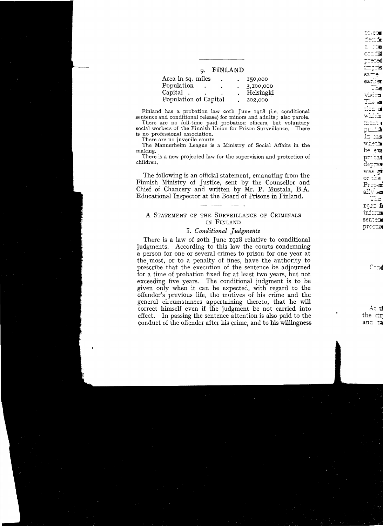### o. FINLAND

| Area in sq. miles     | ä | 150,000   |
|-----------------------|---|-----------|
| Population            |   | 3,100,000 |
| Capital.              |   | Helsingki |
| Population of Capital |   | 202,000   |

Finland has a probation law 20th June 1918 (i.e. conditional sentence and conditional release) for minors and adults: also parole.

There are no full-time paid probation officers, but voluntary social workers of the Finnish Union for Prison Surveillance. There is no professional association.

There are no juvenile courts.

 $\mathbf{I}$ 

The Mannerheim League is a Ministry of Social Affairs in the making.

There is a new projected law for the supervision and protection of children.

The following is an official statement, emanating from the Finnish Ministry of Justice, sent by the Counsellor and Chief of Chancery and written by Mr. P. Mustala, B.A. Educational Inspector at the Board of Prisons in Finland.

## A STATEMENT OF THE SURVEILLANCE OF CRIMINALS IN FINLAND

## I. Conditional Judgments

There is a law of 20th June 1918 relative to conditional judgments. According to this law the courts condemning a person for one or several crimes to prison for one year at the most, or to a penalty of fines, have the authority to prescribe that the execution of the sentence be adjourned for a time of probation fixed for at least two years, but not exceeding five years. The conditional judgment is to be given only when it can be expected, with regard to the offender's previous life, the motives of his crime and the general circumstances appertaining thereto, that he will correct himself even if the judgment be not carried into effect. In passing the sentence attention is also paid to the conduct of the offender after his crime, and to his willingness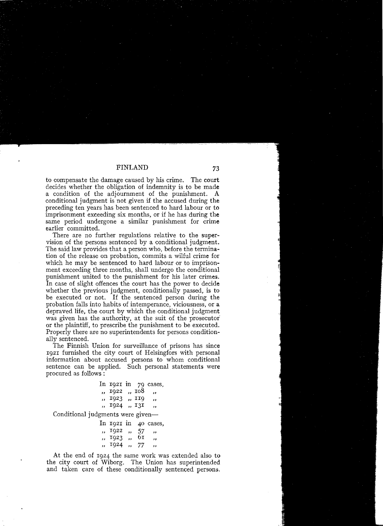to compensate the damage caused by his crime. The court decides whether the obligation of indemnity is to be made a condition of the adjournment of the punishment. A conditional judgment is not given if the accused during the preceding ten years has been sentenced to hard labour or to imprisonment exceeding six months, or if he has during the same period undergone a similar punishment for crime earlier committed.

There are no further regulations relative to the supervision of the persons sentenced by a conditional judgment. The said law provides that a person who, before the termination of the release on probation, commits a wilful crime for which he may be sentenced to hard labour or to imprisonment exceeding three months, shall undergo the conditional punishment united to the punishment for his later crimes. In case of slight offences the court has the power to decide whether the previous judgment, conditionally passed, is to be executed or not. If the sentenced person during the probation falls into habits of intemperance, viciousness, or a depraved life, the court by which the conditional judgment was given has the authority, at the suit of the prosecutor or the plaintiff, to prescribe the punishment to be executed. Properly there are no superintendents for persons conditionally sentenced.

The Finnish Union for surveillance of prisons has since 1921 furnished the city court of Helsingfors with personal information about accused persons to whom conditional sentence can be applied. Such personal statements were procured as follows :

|                     |  | In $1921$ in $79$ cases, |
|---------------------|--|--------------------------|
| $n$ , 1922, $n$ 108 |  | $\overline{\phantom{a}}$ |
| ,, 1923 ,, 119      |  | $\overline{\phantom{a}}$ |
| ,, 1924 ,, 131      |  | ,,                       |

Conditional judgments were given-

|            |     | In 1921 in 40 cases, |
|------------|-----|----------------------|
| 1922, 1    | -57 | $\rightarrow$        |
| , 1923,    | 61  | ,,                   |
| , 1924, 77 |     | ,                    |

At the end of 1924 the same work was extended also to the city court of Wiborg. The Union has superintended and taken care of these conditionally sentenced persons.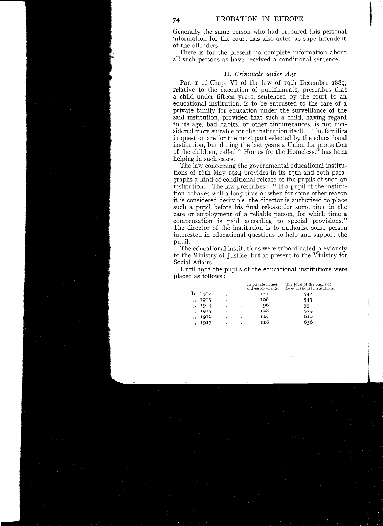<sup>74</sup> PROBATION IN EUROPE<br> **Generally** the same person who had procured this personal Generally the same person who had procured this personal information for the court has also acted as superintendent of the offenders.

There is for the present no complete information about all such persons as have received a conditional sentence.

## Il. *Criminals under Age*

Par. I of Chap. VI of the law of 19th December 1889, relative to the execution of punishments, prescribes that a child under fifteen years, sentenced by the court to an educational institution, is to be entrusted to the care of a private family for education under the surveillance of the said institution, provided that such a child, having regard to its age, bad habits, or other circumstances, is not considered more suitable for the institution itself. The families in question are for the most part selected by the educational institution, but during the last years a Union for protection of the children, called " Homes for the Homeless," has been helping in such cases.

The law concerning the governmental educational institutions of 16th May 1924 provides in its 19th and 20th paragraphs a kind of conditional release of the pupils of such an institution. The law prescribes : "If a pupil of the institution behaves well a long time or when for some other reason it is considered desirable, the director is authorised to place such a pupil before his final release for some time in the care or employment of a reliable person, for which time a compensation is paid according to special provisions." The director of the institution is to authorise some person interested in educational questions to help and support the pupil.

The educational institutions were subordinated previously to the Ministry of Justice, but at present to the Ministry for Social Affairs.

Until 1918 the pupils of the educational institutions were placed as follows :

|                          |         |   |   | In private homes<br>and employments. | The total of the pupils of<br>the educational institutions. |
|--------------------------|---------|---|---|--------------------------------------|-------------------------------------------------------------|
|                          | In 1912 |   |   | 121                                  | 542                                                         |
| $\cdot$                  | 1913    | ٠ | ٠ | 108                                  | 543                                                         |
| $\cdot$                  | 1914    | ٠ |   | 96                                   | 55I                                                         |
| $\overline{\phantom{a}}$ | 1915    | ٠ |   | 128                                  | 579                                                         |
| $\cdot$                  | 1916    | ٠ |   | I27                                  | 620                                                         |
| , 1                      | 1917    |   | ۰ | 118                                  | 636                                                         |
|                          |         |   |   |                                      |                                                             |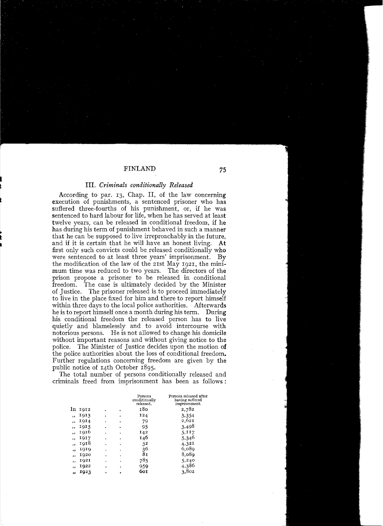## Hl. *Criminals conditionally Released*

According to par. 13, Chap. II, of the law concerning execution of punishments, a sentenced prisoner who has suffered three-fourths of his punishment, or, if he was sentenced to hard labour for life, when he has served at least twelve years, can be released in conditional freedom, îf he has during his term of punishment behaved in such a manner that he can be supposed to live irreproachably in the future, and if it is certain that he will have an honest living. At first only such convicts could be released conditionally who were senteneed to at least three years' imprisonment. By the modification of the law of the 21st May 1921, the minimum time was reduced to two years. The directors of the prison propose a prisoner to be released in conditional freedom. The case is ultimately decided by the Minister of Justice. The prisoner released is to proceed immediately to live in the place fixed for him and there to report himself within three days to the local police authorities. Afterwards he is to report himself once a month during his term. During his conditional freedom the released person has to live quietly and blamelessly and to avoid intercourse with notorious persons. He is not allowed to change his domicile without important reasons and without giving notice to the police. The Minister of Justice decides upon the motion of the police authorities about the loss of conditional freedom. Further regulations concerning freedom are given by the public notice of I4th October I895.

The total number of persons conditionally released and criminals freed from imprisonment has been as follows:

|           |      |   |   | Persons<br>conditionally<br>released. | Persons released after<br>having suffered<br>imprisonment. |
|-----------|------|---|---|---------------------------------------|------------------------------------------------------------|
| In        | 1912 |   | ٠ | 180                                   | 2,782                                                      |
| $\bullet$ | 1913 | ٠ | ٠ | 124                                   | 3,354                                                      |
| $^{11}$   | 1914 |   | ٠ | 79                                    | 2.621                                                      |
| ,,        | 1915 | ٠ | ٠ | 95                                    | 3,498                                                      |
| ,,        | 1916 |   | ٠ | 142                                   | 5,117                                                      |
| ,,        | 1917 |   | ٠ | 146                                   | 5,346                                                      |
| ,,        | 1918 |   | ٠ | 32                                    | 4,321                                                      |
| ,,        | 1010 |   | ٠ | 36                                    | 6,089                                                      |
| ,,        | 1920 |   |   | 81                                    | 8.089                                                      |
| ,,        | 1921 |   |   | 785                                   | 5,240                                                      |
| ,,        | 1922 |   |   | 959                                   | 4,386                                                      |
| 33        | 1923 |   |   | 60 r                                  | 3,802                                                      |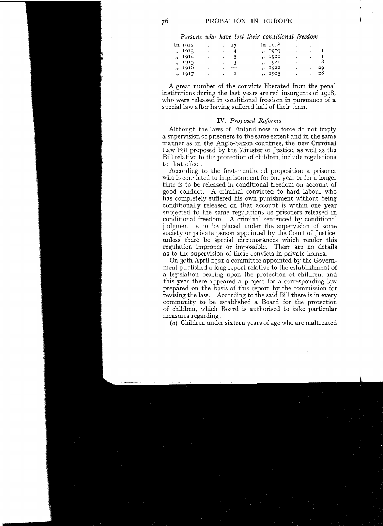*Persons who have lost their conditional freedom* 

In 1912 . 17 In 1918  $\sim 10$ ., 1913 . . 4 . . 1919 . . 1 ., 1914 . . 5 ., 1920 . . <u>1</u>  $\frac{1915}{1016}$  . 3 . I92I . . 8  $\frac{1916}{1017}$  .  $\frac{1922}{2}$  .  $\frac{1923}{28}$ I9I7 . . 2 , 1923 . . 28

A great number of the convicts liberated from the penal institutions during the last years are red insurgents of  $1918$ , who were released in conditional freedom in pursuance of a special law after having suffered half of their term.

### IV. *Proposed Reforms*

Although the laws of Finland now in force do not imply a supervision of prisoners to the same extent and in the same manner as in the Anglo-Saxon countries, the new Criminal Law Bill proposed by the Minister of Justice, as well as the Bill relative to the protection of children, include regulations to that effect.

According to the first-mentioned proposition a prisoner who is convicted to imprisonment for one year or for a longer time is to be released in conditional freedom on account of good conduct. A criminal convicted to hard labour who has completely suffered his own punishment without being conditionaily released on that account is within one year subjected to the same regulations as prisoners released in conditional freedom. A criminal sentenced by conditional judgment is to be placed under the supervision of some society or private person appointed by the Court of Justice, unless there be special circumstances which render this regulation improper or impossible. There are no details as to the supervision of these convicts in private homes.

On 30th April I92I a committee appointed by the Government published a long report relative to the establishment of a legislation bearing upon the protection of children, and this year there appeared a project for a corresponding law prepared on the basis of this report by the commission for revising the law. According to the said Bili there is in every community to be established a Board for the protection of children, which Board is authorised to take particular measures regarding :

(a) Children under sixteen years of age who are maltreated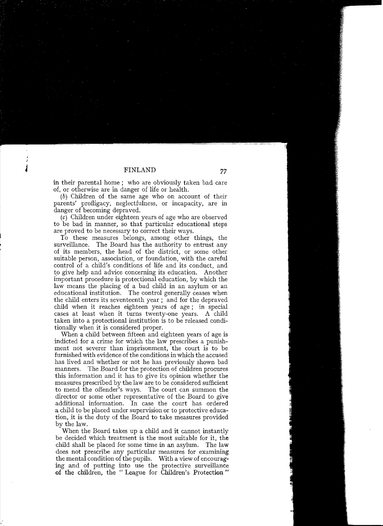in their parental home; who are obviously taken bad care of, or otherwise are in danger of life or health.

(b) Children of the same age who on account of their parents' profligacy, neglectfulness, or incapacity, are in danger of becoming depraved.

(c) Children under eighteen years of age who are observed to be bad in manner, so that particular educational steps are proved to be necessary to correct their ways.

To these measures belongs, among other things, the surveillance. The Board has the authority to entrust any of its members, the head of the district, or some other suitable person, association, or foundation, with the careful control of a child's conditions of life and its conduct, and to give help and advice concerning its education. Another important procedure is protectional education, by which the law means the placing of a bad child in an asylum or an educational institution. The control generally ceases when the child enters its seventeenth year; and for the depraved child when it reaches eighteen years of age; in special cases at least when it tums twenty-one years. A child taken into a protectional institution is to be released conditionally when it is considered proper.

When a child between fifteen and eighteen years of age is indicted for a crime for which the law prescribes a punishment not severer than imprisonment, the court is to be fumished with evidence of the conditions in which the accused has lived and whether or not he has previously shown bad manners. The Board for the protection of children procures this information and it has to give its opinion whether the measures prescribed by the law are to be considered sufficient to mend the offender's ways. The court can summon the director or some other representative of the Board to give additional information. In case the court has ordered a child to be placed under supervision or to protective education, it is the duty of the Board to take measures provided by the law.

When the Board takes up a child and it cannot instantly be decided which treatment is the most suitable for it, the child shall be placed for some time in an asylum. The law does not prescribe any particular measures for examining the mental condition of the pupils. With a view of encouraging and of putting into use the protective surveillance of the children, the "League for Children's Protection "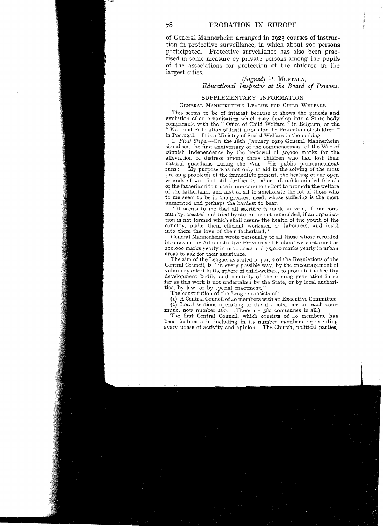of General Mannerheim arranged in 1923 courses of instruction in protective surveillance, in which about 200 persons participated. Protective surveillance has also been practised in some measure by private persons among the pupils of the associations for protection of the children in the largest cities.

# *(Signed)* P. MUSTALA, *Educational Inspector at the Board of Prisons.*

### SUPPLEMENTARY INFORMATION

#### GENERAL MANNERHEIM'S LEAGUE FOR CHILD WELFARE

This seems to be of interest because it shows the genesis and evolution of an organisation which may develop into a State body comparable with the " Office of Child Welfare " in Belgium, or the " National Federation of Institutions for the Protection of Children " in Portugal. It is a Ministry of Social Welfare in the making.

1. *First Steps.-On* the 28th January 1919 General Mannerheim signalised the first anniversary of the commencement of the War of Finnish Independence by the bestowal of 50,000 marks for the alleviation of distress among those children who had lost their natural guardians during the War. His public pronouncement runs: "My purpose was not only to aid in the solving of the most pressing problems of the immediate present, the healing of the open wounds of war, but still further .to exhort all noble-minded friends of the fatherland to unite in one common effort to promote the welfare of the fatherland, and first of all to ameliorate the lot of those who to me seem to be in the greatest need, whose suffering is the most unmerited and perhaps the hardest to bear.

" 1t seems to me that all sacrifice is made in vain, if our community, created and tried by storm, be not remoulded, if an organisation is not formed which shall assure the health of the youth of the country, make them efficient workmen or labourers, and instil into them the love of their fatherland."

General Mannerheim wrote personally to all those whose recorded incomes in the Administrative Provinces of Finland were returned as 100,000 marks yearly in rural areas and 75,000 marks yearly in urban areas to ask for their assistance.

The aim of the League, as stated in par. 2 of the Regulations of the Central Council, is " in every possible way, by the encouragement of voluntary effort in the sphere of child-welfare, to promote the healthy development bodily and mentally of the coming generation in so far as this work is not undertaken by the State, or by local authorities, by law, or by special enactment."

The constitution of the League consists of :

(1) A Centra! Council of 40 members with an Executive Committee.

(2) Local sections operating in the districts, one for each commune, now number 260. (There are 580 communes in all.)

The first Central Council, which consists of 40 members, has been fortunate in including in its number members representing every phase of activity and opinion. The Church, political parties.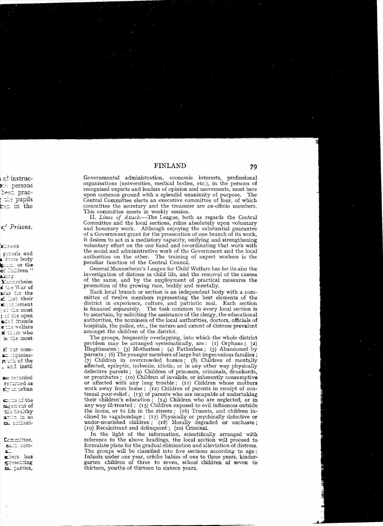Governmental administration, economic interests, professional organisations (universities, medical bodies, etc.), in the persons of recognised experts and leaders of opinion and movements, meet here upon common ground with a splendid unanimity of purpose. The Central Committee elects an executive committee of four, of which committee the secretary and the treasurer are ex-officio members. This committee meets in weekly session.

II. Lines of Attack,—The League, both as regards the Central Committee and the local sections, relies absolutely upon voluntary and honorary work. Although enjoying the substantial guarantee of a Government grant for the prosecution of one branch of its work. it desires to act in a mediatory capacity, unifying and strengthening voluntary effort on the one hand and co-ordinating that work with the social and administrative work of the Government and the local authorities on the other. The training of expert workers is the peculiar function of the Central Council.

General Mannerheim's League for Child Welfare has for its aim the investigation of distress in child life, and the removal of the causes of the same, and by the employment of practical measures the promotion of the growing race, bodily and mentally.

Each local branch or section is an independent body with a committee of twelve members representing the best elements of the district in experience, culture, and patriotic zeal. Each section is financed separately. The task common to every local section is to ascertain, by soliciting the assistance of the clergy, the educational authorities, the nominees of the local authorities, doctors, officials of hospitals, the police, etc., the nature and extent of distress prevalent amongst the children of the district.

The groups, frequently overlapping, into which the whole district problem may be arranged systematically, are:  $(1)$  Orphans;  $(2)$ Illegitimates; (3) Motherless; (4) Fatherless; (5) Abandoned by parents; (6) The younger members of large but impecunious families; (7) Children in overcrowded homes; (8) Children of mentally affected, epileptic, imbecile, idiotic, or in any other way physically defective parents; (9) Children of prisoners, criminals, drunkards, or prostitutes; (10) Children of invalids, or inherently consumptive or affected with any lung trouble; (11) Children whose mothers work away from home; (12) Children of parents in receipt of continual poor-relief; (13) of parents who are incapable of undertaking their children's education;  $(14)$  Children who are neglected, or in any way ill-treated; (15) Children exposed to evil influences outside the home, or to life in the streets;  $(16)$  Truants, and children inclined to vagabondage; (17) Physically or psychically defective or under-nourished children; (18) Morally degraded or unchaste; (19) Recalcitrant and delinquent; (20) Criminal,

In the light of the information, scientifically arranged with reference to the above headings, the local section will proceed to formulate plans for the gradual elimination and alleviation of distress. The groups will be classified into five sections according to age: Infants under one year, crêche babies of one to three years, kindergarten children of three to seven, school children of seven to thirteen, youths of thirteen to sixteen years.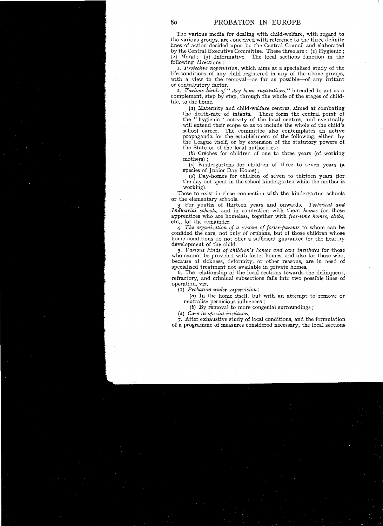The various media for dealing with child-welfare, with regard to the various groups, are canceived with reference to the three definite lines of action decided upon by the Central Council and elaborated by the Central Executive Committee. These three are: (I) Hygienic;  $(2)$  Moral;  $(3)$  Informative. The local sections function in the following directions :

1. *Protective supervision,* which aims at a specialised study of the life-conditions of any child registered in any of the above groups, with a view to the removal—as far as possible—of any irritant or contributory factor.

*2. Various kinds of* " *day home institutions,* " intended to act as a complement, step by step, through the whole of the stages of childlife, to the home.

(a) Maternity and child-welfare centres, aimed at combating the death-rate of infants. These form the central point of the "hygienic " activity of the local centres, and eventually will extend their scope so as to include the whole of the child's school career. The committee also contemplates an active propaganda for the establishment of the following, either by the League itself, or by extension of the statutory powers of the State or of the local authorities :

(b) Crèches for children of one to three years (of working mothers) ;

(c) Kindergartens for children of three to seven years (a species of Junior Day Home) ;

(d) Day-homes for children of seven to thirteen years (for the day not spent in the school kindergarten while the mother is working).

These to exist in close connection with the kindergarten schools or the elementary schools.

3. For youths of thirteen years and onwards. *Technical and lndustrial schools,* and in connection with them *homes* for those apprentices who are homeless, together with *free-time homes, clubs,*  etc., for the remainder.

*4. The organisation of a system of foster-parcmts* to whom can be confided the care, not only of orphans, but of those children whose home conditions do not offer a sufficient guarantee for the healthy development of the child.

*5. Various kinds of childl'en' s homes and care institutes* for those who cannot be provided with foster-homes, and also for those who, because of sickness, deformity, or other reasons, are in need of specialised treatment not available in private homes.

6. The relationship of the local sections towards the delinquent, refractory, and criminal subsections falls into two possible lines of operation, viz.

(I) *Probation under supervision* :

(a) In the home itself, but with an attempt to remove or neutralise pernicious influences ;

(b) Ey removal to more congenial surroundings ;

(2) *Care in special institutes.* 

7. After exhaustive study of local conditions, and the formulation of a programme of measures considered necessary, the local sections